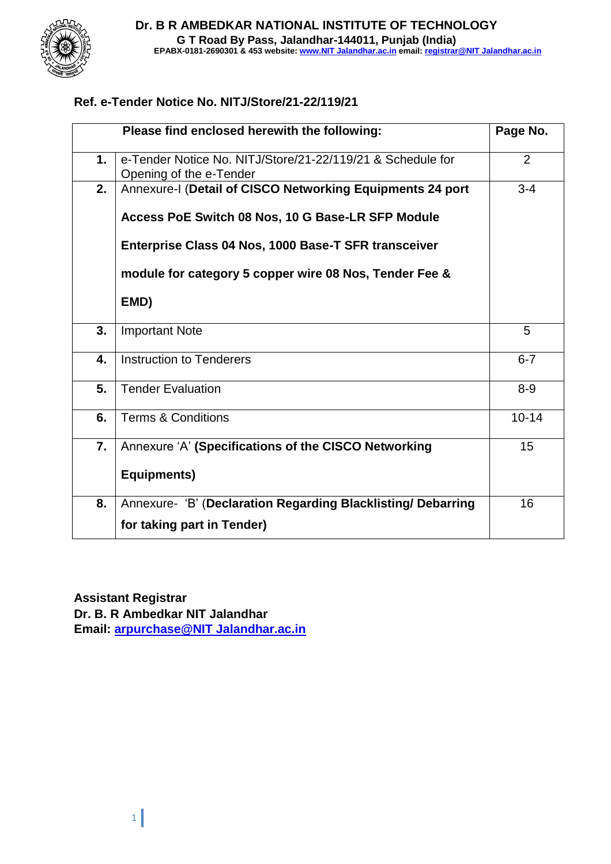

### **Ref. e-Tender Notice No. NITJ/Store/21-22/119/21**

|    | Please find enclosed herewith the following:                                          | Page No.  |
|----|---------------------------------------------------------------------------------------|-----------|
| 1. | e-Tender Notice No. NITJ/Store/21-22/119/21 & Schedule for<br>Opening of the e-Tender | 2         |
| 2. | Annexure-I (Detail of CISCO Networking Equipments 24 port                             | $3 - 4$   |
|    | Access PoE Switch 08 Nos, 10 G Base-LR SFP Module                                     |           |
|    | Enterprise Class 04 Nos, 1000 Base-T SFR transceiver                                  |           |
|    | module for category 5 copper wire 08 Nos, Tender Fee &                                |           |
|    | EMD)                                                                                  |           |
| 3. | <b>Important Note</b>                                                                 | 5         |
| 4. | <b>Instruction to Tenderers</b>                                                       | $6 - 7$   |
| 5. | <b>Tender Evaluation</b>                                                              | $8 - 9$   |
| 6. | <b>Terms &amp; Conditions</b>                                                         | $10 - 14$ |
| 7. | Annexure 'A' (Specifications of the CISCO Networking                                  | 15        |
|    | Equipments)                                                                           |           |
| 8. | Annexure- 'B' (Declaration Regarding Blacklisting/ Debarring                          | 16        |
|    | for taking part in Tender)                                                            |           |

**Assistant Registrar Dr. B. R Ambedkar NIT Jalandhar Email: [arpurchase@NIT Jalandhar.ac.in](mailto:arpurchase@nitj.ac.in)**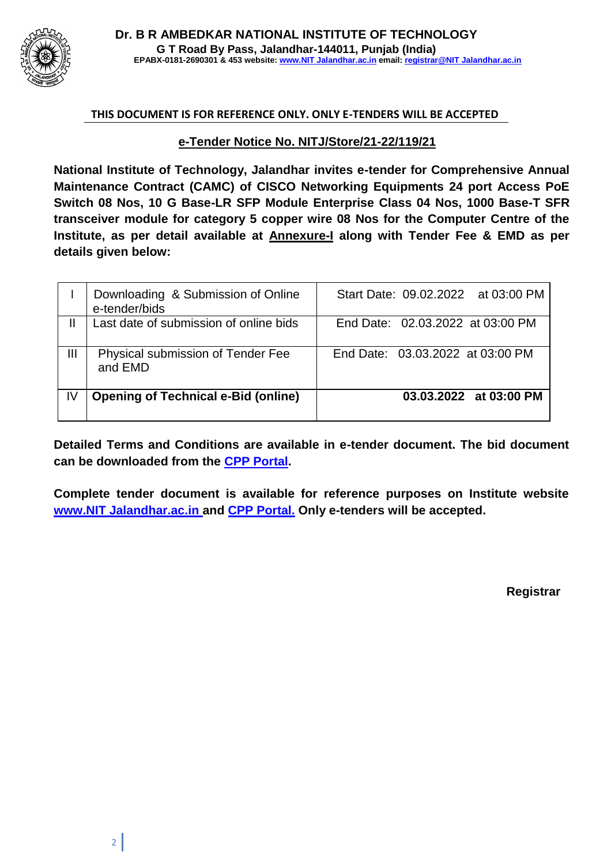

#### **THIS DOCUMENT IS FOR REFERENCE ONLY. ONLY E-TENDERS WILL BE ACCEPTED**

#### **e-Tender Notice No. NITJ/Store/21-22/119/21**

**National Institute of Technology, Jalandhar invites e-tender for Comprehensive Annual Maintenance Contract (CAMC) of CISCO Networking Equipments 24 port Access PoE Switch 08 Nos, 10 G Base-LR SFP Module Enterprise Class 04 Nos, 1000 Base-T SFR transceiver module for category 5 copper wire 08 Nos for the Computer Centre of the Institute, as per detail available at Annexure-I along with Tender Fee & EMD as per details given below:**

|    | Downloading & Submission of Online<br>e-tender/bids | Start Date: 09.02.2022 at 03:00 PM |
|----|-----------------------------------------------------|------------------------------------|
|    | Last date of submission of online bids              | End Date: 02.03.2022 at 03:00 PM   |
| Ш  | Physical submission of Tender Fee<br>and EMD        | End Date: 03.03.2022 at 03:00 PM   |
| IV | <b>Opening of Technical e-Bid (online)</b>          | 03.03.2022 at 03:00 PM             |

**Detailed Terms and Conditions are available in e-tender document. The bid document can be downloaded from the CPP Portal.**

**Complete tender document is available for reference purposes on Institute website [www.NIT Jalandhar.ac.in a](http://www.nitj.ac.in/)nd CPP Portal. Only e-tenders will be accepted.**

**Registrar**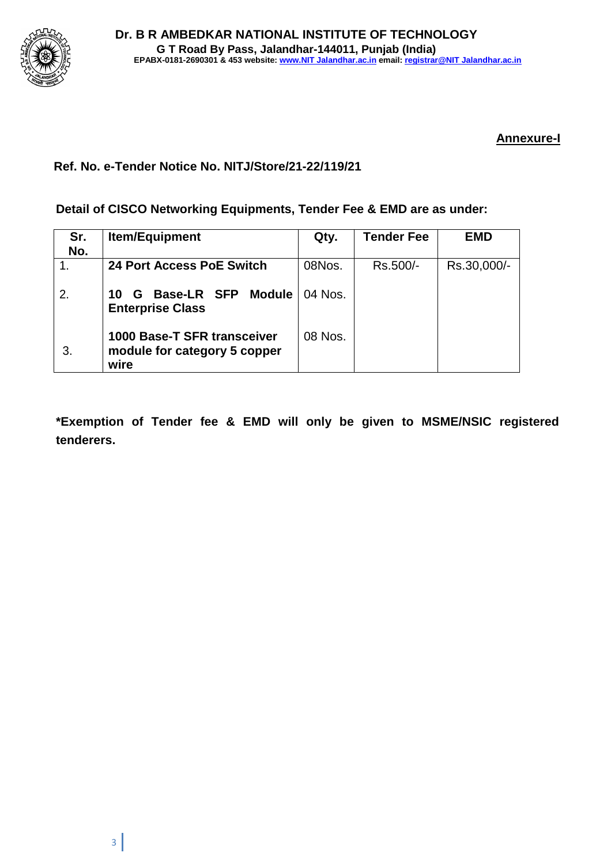

### **Annexure-I**

### **Ref. No. e-Tender Notice No. NITJ/Store/21-22/119/21**

**Detail of CISCO Networking Equipments, Tender Fee & EMD are as under:**

| Sr.<br>No. | <b>Item/Equipment</b>                                               | Qty.    | <b>Tender Fee</b> | EMD         |
|------------|---------------------------------------------------------------------|---------|-------------------|-------------|
|            | 24 Port Access PoE Switch                                           | 08Nos.  | Rs.500/-          | Rs.30,000/- |
| 2.         | Base-LR SFP<br><b>Module</b><br>10<br>G<br><b>Enterprise Class</b>  | 04 Nos. |                   |             |
| 3.         | 1000 Base-T SFR transceiver<br>module for category 5 copper<br>wire | 08 Nos. |                   |             |

**\*Exemption of Tender fee & EMD will only be given to MSME/NSIC registered tenderers.**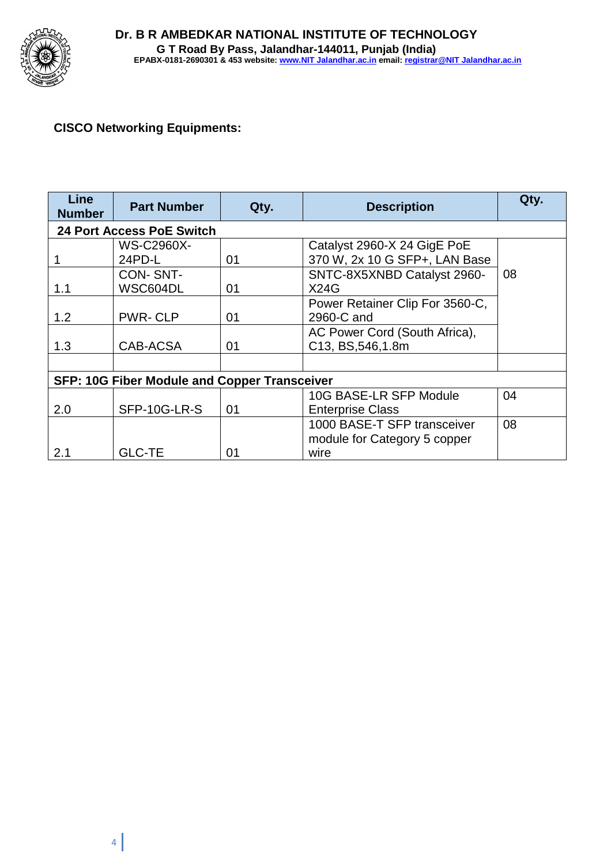

### **CISCO Networking Equipments:**

| <b>Line</b><br><b>Number</b>                        | <b>Part Number</b> | Qty. | <b>Description</b>              | Qty. |  |  |
|-----------------------------------------------------|--------------------|------|---------------------------------|------|--|--|
| <b>24 Port Access PoE Switch</b>                    |                    |      |                                 |      |  |  |
|                                                     | <b>WS-C2960X-</b>  |      | Catalyst 2960-X 24 GigE PoE     |      |  |  |
|                                                     | 24PD-L             | 01   | 370 W, 2x 10 G SFP+, LAN Base   |      |  |  |
|                                                     | <b>CON-SNT-</b>    |      | SNTC-8X5XNBD Catalyst 2960-     | 08   |  |  |
| 1.1                                                 | WSC604DL           | 01   | X24G                            |      |  |  |
|                                                     |                    |      | Power Retainer Clip For 3560-C, |      |  |  |
| 1.2                                                 | <b>PWR-CLP</b>     | 01   | 2960-C and                      |      |  |  |
|                                                     |                    |      | AC Power Cord (South Africa),   |      |  |  |
| 1.3                                                 | CAB-ACSA           | 01   | C13, BS, 546, 1.8m              |      |  |  |
|                                                     |                    |      |                                 |      |  |  |
| <b>SFP: 10G Fiber Module and Copper Transceiver</b> |                    |      |                                 |      |  |  |
|                                                     |                    |      | 10G BASE-LR SFP Module          | 04   |  |  |
| 2.0                                                 | SFP-10G-LR-S       | 01   | <b>Enterprise Class</b>         |      |  |  |
|                                                     |                    |      | 1000 BASE-T SFP transceiver     | 08   |  |  |
|                                                     |                    |      | module for Category 5 copper    |      |  |  |
| 2.1                                                 | <b>GLC-TE</b>      | 01   | wire                            |      |  |  |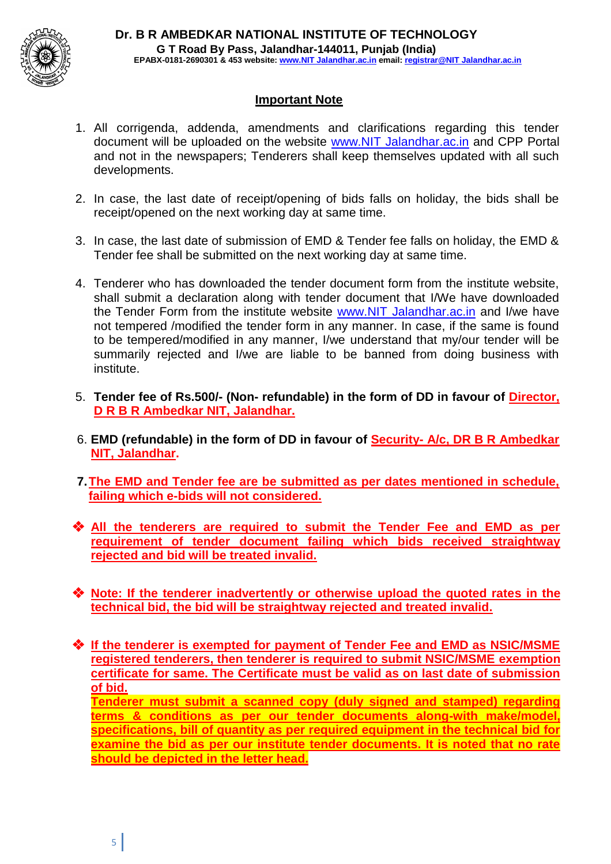

#### **Important Note**

- 1. All corrigenda, addenda, amendments and clarifications regarding this tender document will be uploaded on the website www.NIT Jalandhar.ac.in and CPP Portal and not in the newspapers; Tenderers shall keep themselves updated with all such developments.
- 2. In case, the last date of receipt/opening of bids falls on holiday, the bids shall be receipt/opened on the next working day at same time.
- 3. In case, the last date of submission of EMD & Tender fee falls on holiday, the EMD & Tender fee shall be submitted on the next working day at same time.
- 4. Tenderer who has downloaded the tender document form from the institute website, shall submit a declaration along with tender document that I/We have downloaded the Tender Form from the institute website www.NIT Jalandhar.ac.in and I/we have not tempered /modified the tender form in any manner. In case, if the same is found to be tempered/modified in any manner, I/we understand that my/our tender will be summarily rejected and I/we are liable to be banned from doing business with institute.
- 5. **Tender fee of Rs.500/- (Non- refundable) in the form of DD in favour of Director, D R B R Ambedkar NIT, Jalandhar.**
- 6. **EMD (refundable) in the form of DD in favour of Security- A/c, DR B R Ambedkar NIT, Jalandhar.**
- **7.The EMD and Tender fee are be submitted as per dates mentioned in schedule, failing which e-bids will not considered.**
- ❖ **All the tenderers are required to submit the Tender Fee and EMD as per requirement of tender document failing which bids received straightway rejected and bid will be treated invalid.**
- ❖ **Note: If the tenderer inadvertently or otherwise upload the quoted rates in the technical bid, the bid will be straightway rejected and treated invalid.**
- ❖ **If the tenderer is exempted for payment of Tender Fee and EMD as NSIC/MSME registered tenderers, then tenderer is required to submit NSIC/MSME exemption certificate for same. The Certificate must be valid as on last date of submission of bid.**

**Tenderer must submit a scanned copy (duly signed and stamped) regarding terms & conditions as per our tender documents along-with make/model, specifications, bill of quantity as per required equipment in the technical bid for examine the bid as per our institute tender documents. It is noted that no rate should be depicted in the letter head.**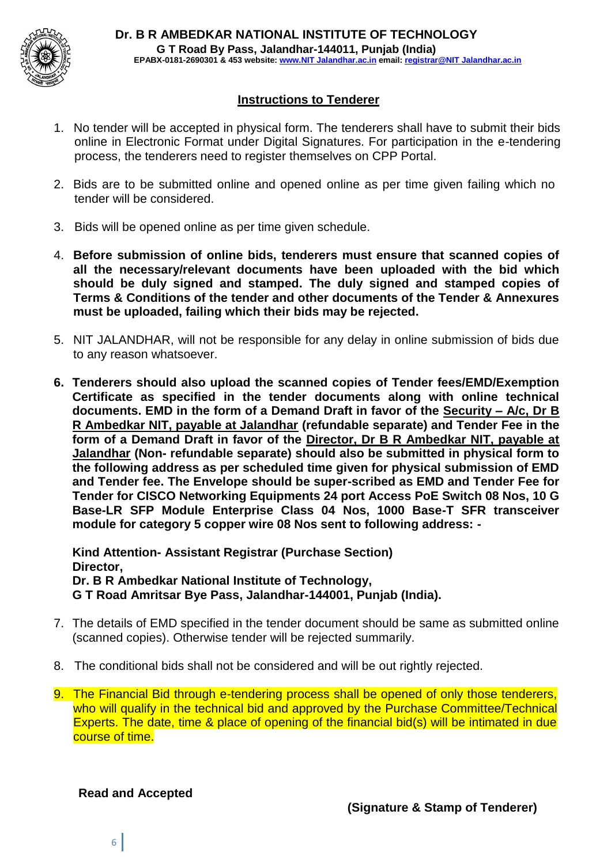

#### **Instructions to Tenderer**

- 1. No tender will be accepted in physical form. The tenderers shall have to submit their bids online in Electronic Format under Digital Signatures. For participation in the e-tendering process, the tenderers need to register themselves on CPP Portal.
- 2. Bids are to be submitted online and opened online as per time given failing which no tender will be considered.
- 3. Bids will be opened online as per time given schedule.
- 4. **Before submission of online bids, tenderers must ensure that scanned copies of all the necessary/relevant documents have been uploaded with the bid which should be duly signed and stamped. The duly signed and stamped copies of Terms & Conditions of the tender and other documents of the Tender & Annexures must be uploaded, failing which their bids may be rejected.**
- 5. NIT JALANDHAR, will not be responsible for any delay in online submission of bids due to any reason whatsoever.
- **6. Tenderers should also upload the scanned copies of Tender fees/EMD/Exemption Certificate as specified in the tender documents along with online technical documents. EMD in the form of a Demand Draft in favor of the Security – A/c, Dr B R Ambedkar NIT, payable at Jalandhar (refundable separate) and Tender Fee in the form of a Demand Draft in favor of the Director, Dr B R Ambedkar NIT, payable at Jalandhar (Non- refundable separate) should also be submitted in physical form to the following address as per scheduled time given for physical submission of EMD and Tender fee. The Envelope should be super-scribed as EMD and Tender Fee for Tender for CISCO Networking Equipments 24 port Access PoE Switch 08 Nos, 10 G Base-LR SFP Module Enterprise Class 04 Nos, 1000 Base-T SFR transceiver module for category 5 copper wire 08 Nos sent to following address: -**

**Kind Attention- Assistant Registrar (Purchase Section) Director, Dr. B R Ambedkar National Institute of Technology, G T Road Amritsar Bye Pass, Jalandhar-144001, Punjab (India).**

- 7. The details of EMD specified in the tender document should be same as submitted online (scanned copies). Otherwise tender will be rejected summarily.
- 8. The conditional bids shall not be considered and will be out rightly rejected.
- 9. The Financial Bid through e-tendering process shall be opened of only those tenderers, who will qualify in the technical bid and approved by the Purchase Committee/Technical Experts. The date, time & place of opening of the financial bid(s) will be intimated in due course of time.

**Read and Accepted**

6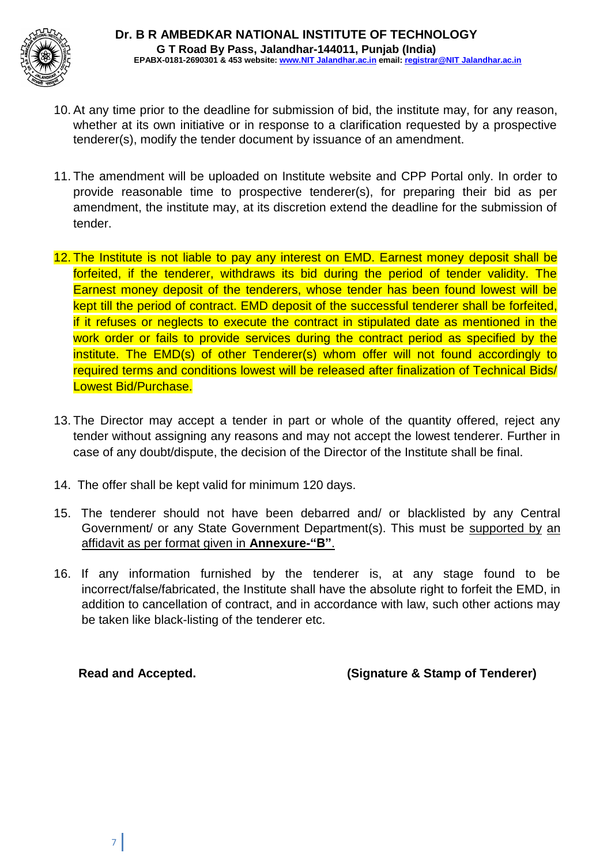

- 10. At any time prior to the deadline for submission of bid, the institute may, for any reason, whether at its own initiative or in response to a clarification requested by a prospective tenderer(s), modify the tender document by issuance of an amendment.
- 11. The amendment will be uploaded on Institute website and CPP Portal only. In order to provide reasonable time to prospective tenderer(s), for preparing their bid as per amendment, the institute may, at its discretion extend the deadline for the submission of tender.
- 12. The Institute is not liable to pay any interest on EMD. Earnest money deposit shall be forfeited, if the tenderer, withdraws its bid during the period of tender validity. The Earnest money deposit of the tenderers, whose tender has been found lowest will be kept till the period of contract. EMD deposit of the successful tenderer shall be forfeited, if it refuses or neglects to execute the contract in stipulated date as mentioned in the work order or fails to provide services during the contract period as specified by the institute. The EMD(s) of other Tenderer(s) whom offer will not found accordingly to required terms and conditions lowest will be released after finalization of Technical Bids/ Lowest Bid/Purchase.
- 13. The Director may accept a tender in part or whole of the quantity offered, reject any tender without assigning any reasons and may not accept the lowest tenderer. Further in case of any doubt/dispute, the decision of the Director of the Institute shall be final.
- 14. The offer shall be kept valid for minimum 120 days.
- 15. The tenderer should not have been debarred and/ or blacklisted by any Central Government/ or any State Government Department(s). This must be supported by an affidavit as per format given in **Annexure-"B"**.
- 16. If any information furnished by the tenderer is, at any stage found to be incorrect/false/fabricated, the Institute shall have the absolute right to forfeit the EMD, in addition to cancellation of contract, and in accordance with law, such other actions may be taken like black-listing of the tenderer etc.

**Read and Accepted. (Signature & Stamp of Tenderer)**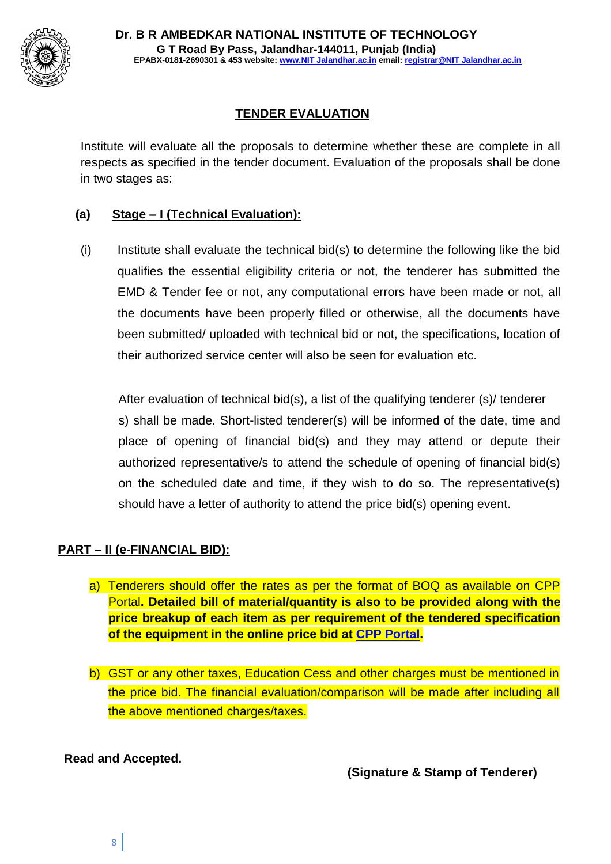

## **TENDER EVALUATION**

Institute will evaluate all the proposals to determine whether these are complete in all respects as specified in the tender document. Evaluation of the proposals shall be done in two stages as:

### **(a) Stage – I (Technical Evaluation):**

(i) Institute shall evaluate the technical bid(s) to determine the following like the bid qualifies the essential eligibility criteria or not, the tenderer has submitted the EMD & Tender fee or not, any computational errors have been made or not, all the documents have been properly filled or otherwise, all the documents have been submitted/ uploaded with technical bid or not, the specifications, location of their authorized service center will also be seen for evaluation etc.

After evaluation of technical bid(s), a list of the qualifying tenderer (s)/ tenderer s) shall be made. Short-listed tenderer(s) will be informed of the date, time and place of opening of financial bid(s) and they may attend or depute their authorized representative/s to attend the schedule of opening of financial bid(s) on the scheduled date and time, if they wish to do so. The representative(s) should have a letter of authority to attend the price bid(s) opening event.

### **PART – II (e-FINANCIAL BID):**

- a) Tenderers should offer the rates as per the format of BOQ as available on CPP Portal**. Detailed bill of material/quantity is also to be provided along with the price breakup of each item as per requirement of the tendered specification of the equipment in the online price bid at CPP Portal.**
- b) GST or any other taxes, Education Cess and other charges must be mentioned in the price bid. The financial evaluation/comparison will be made after including all the above mentioned charges/taxes.

### **Read and Accepted.**

**(Signature & Stamp of Tenderer)**

8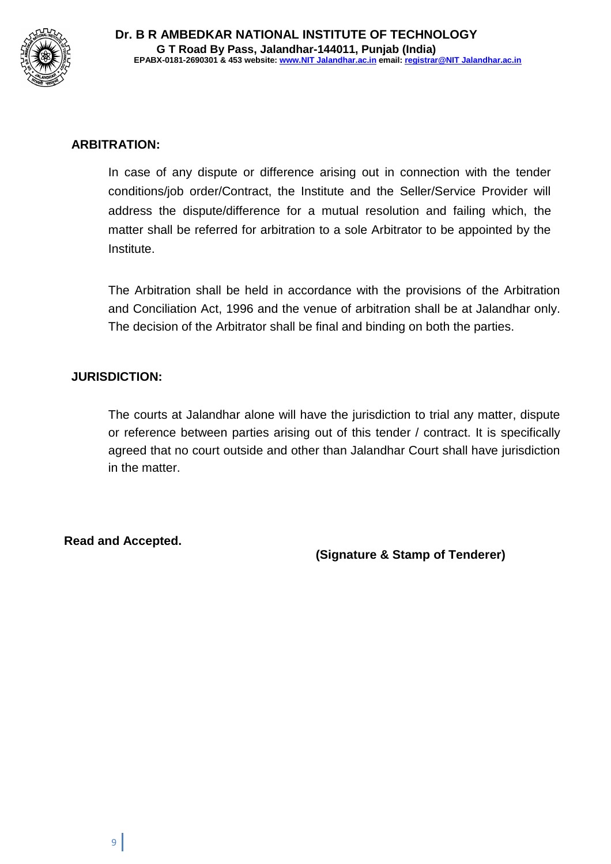

### **ARBITRATION:**

In case of any dispute or difference arising out in connection with the tender conditions/job order/Contract, the Institute and the Seller/Service Provider will address the dispute/difference for a mutual resolution and failing which, the matter shall be referred for arbitration to a sole Arbitrator to be appointed by the Institute.

The Arbitration shall be held in accordance with the provisions of the Arbitration and Conciliation Act, 1996 and the venue of arbitration shall be at Jalandhar only. The decision of the Arbitrator shall be final and binding on both the parties.

### **JURISDICTION:**

The courts at Jalandhar alone will have the jurisdiction to trial any matter, dispute or reference between parties arising out of this tender / contract. It is specifically agreed that no court outside and other than Jalandhar Court shall have jurisdiction in the matter.

**Read and Accepted.**

**(Signature & Stamp of Tenderer)**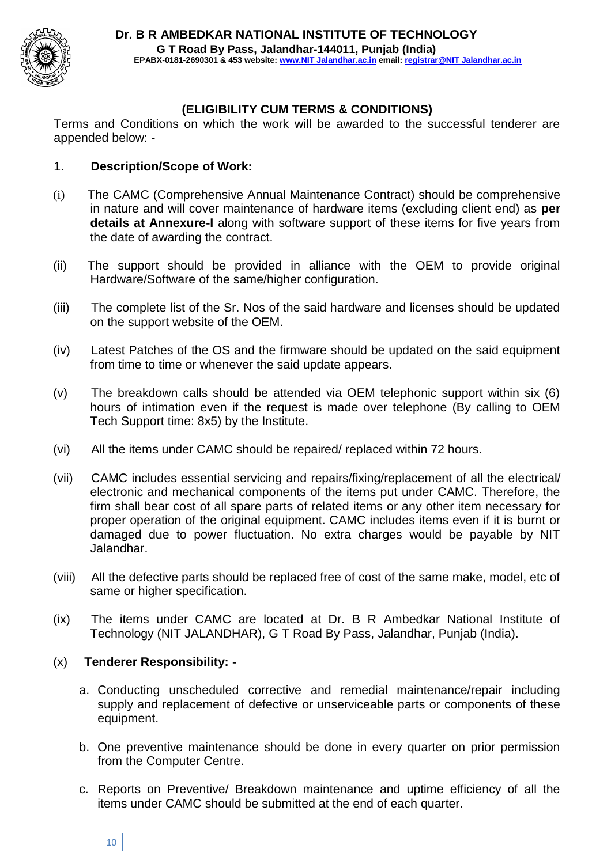

### **(ELIGIBILITY CUM TERMS & CONDITIONS)**

Terms and Conditions on which the work will be awarded to the successful tenderer are appended below: -

#### 1. **Description/Scope of Work:**

- (i) The CAMC (Comprehensive Annual Maintenance Contract) should be comprehensive in nature and will cover maintenance of hardware items (excluding client end) as **per details at Annexure-I** along with software support of these items for five years from the date of awarding the contract.
- (ii) The support should be provided in alliance with the OEM to provide original Hardware/Software of the same/higher configuration.
- (iii) The complete list of the Sr. Nos of the said hardware and licenses should be updated on the support website of the OEM.
- (iv) Latest Patches of the OS and the firmware should be updated on the said equipment from time to time or whenever the said update appears.
- (v) The breakdown calls should be attended via OEM telephonic support within six (6) hours of intimation even if the request is made over telephone (By calling to OEM Tech Support time: 8x5) by the Institute.
- (vi) All the items under CAMC should be repaired/ replaced within 72 hours.
- (vii) CAMC includes essential servicing and repairs/fixing/replacement of all the electrical/ electronic and mechanical components of the items put under CAMC. Therefore, the firm shall bear cost of all spare parts of related items or any other item necessary for proper operation of the original equipment. CAMC includes items even if it is burnt or damaged due to power fluctuation. No extra charges would be payable by NIT Jalandhar.
- (viii) All the defective parts should be replaced free of cost of the same make, model, etc of same or higher specification.
- (ix) The items under CAMC are located at Dr. B R Ambedkar National Institute of Technology (NIT JALANDHAR), G T Road By Pass, Jalandhar, Punjab (India).

### (x) **Tenderer Responsibility: -**

- a. Conducting unscheduled corrective and remedial maintenance/repair including supply and replacement of defective or unserviceable parts or components of these equipment.
- b. One preventive maintenance should be done in every quarter on prior permission from the Computer Centre.
- c. Reports on Preventive/ Breakdown maintenance and uptime efficiency of all the items under CAMC should be submitted at the end of each quarter.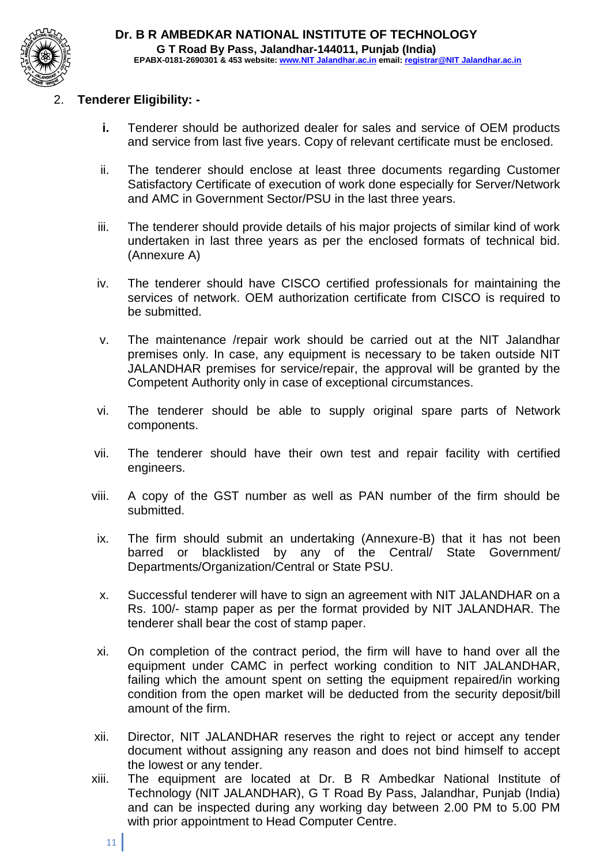

### 2. **Tenderer Eligibility: -**

- **i.** Tenderer should be authorized dealer for sales and service of OEM products and service from last five years. Copy of relevant certificate must be enclosed.
- ii. The tenderer should enclose at least three documents regarding Customer Satisfactory Certificate of execution of work done especially for Server/Network and AMC in Government Sector/PSU in the last three years.
- iii. The tenderer should provide details of his major projects of similar kind of work undertaken in last three years as per the enclosed formats of technical bid. (Annexure A)
- iv. The tenderer should have CISCO certified professionals for maintaining the services of network. OEM authorization certificate from CISCO is required to be submitted.
- v. The maintenance /repair work should be carried out at the NIT Jalandhar premises only. In case, any equipment is necessary to be taken outside NIT JALANDHAR premises for service/repair, the approval will be granted by the Competent Authority only in case of exceptional circumstances.
- vi. The tenderer should be able to supply original spare parts of Network components.
- vii. The tenderer should have their own test and repair facility with certified engineers.
- viii. A copy of the GST number as well as PAN number of the firm should be submitted.
- ix. The firm should submit an undertaking (Annexure-B) that it has not been barred or blacklisted by any of the Central/ State Government/ Departments/Organization/Central or State PSU.
- x. Successful tenderer will have to sign an agreement with NIT JALANDHAR on a Rs. 100/- stamp paper as per the format provided by NIT JALANDHAR. The tenderer shall bear the cost of stamp paper.
- xi. On completion of the contract period, the firm will have to hand over all the equipment under CAMC in perfect working condition to NIT JALANDHAR, failing which the amount spent on setting the equipment repaired/in working condition from the open market will be deducted from the security deposit/bill amount of the firm.
- xii. Director, NIT JALANDHAR reserves the right to reject or accept any tender document without assigning any reason and does not bind himself to accept the lowest or any tender.
- xiii. The equipment are located at Dr. B R Ambedkar National Institute of Technology (NIT JALANDHAR), G T Road By Pass, Jalandhar, Punjab (India) and can be inspected during any working day between 2.00 PM to 5.00 PM with prior appointment to Head Computer Centre.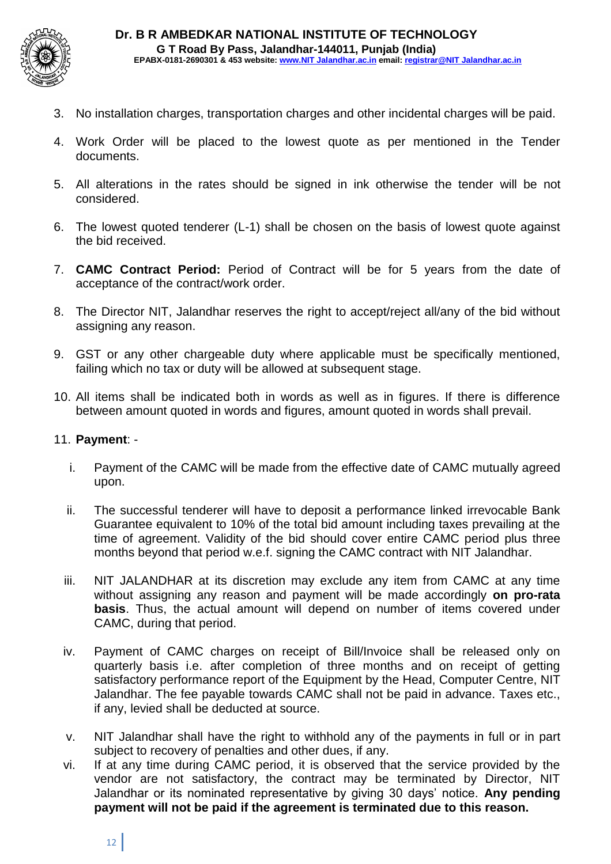

- 3. No installation charges, transportation charges and other incidental charges will be paid.
- 4. Work Order will be placed to the lowest quote as per mentioned in the Tender documents.
- 5. All alterations in the rates should be signed in ink otherwise the tender will be not considered.
- 6. The lowest quoted tenderer (L-1) shall be chosen on the basis of lowest quote against the bid received.
- 7. **CAMC Contract Period:** Period of Contract will be for 5 years from the date of acceptance of the contract/work order.
- 8. The Director NIT, Jalandhar reserves the right to accept/reject all/any of the bid without assigning any reason.
- 9. GST or any other chargeable duty where applicable must be specifically mentioned, failing which no tax or duty will be allowed at subsequent stage.
- 10. All items shall be indicated both in words as well as in figures. If there is difference between amount quoted in words and figures, amount quoted in words shall prevail.

#### 11. **Payment**: -

- i. Payment of the CAMC will be made from the effective date of CAMC mutually agreed upon.
- ii. The successful tenderer will have to deposit a performance linked irrevocable Bank Guarantee equivalent to 10% of the total bid amount including taxes prevailing at the time of agreement. Validity of the bid should cover entire CAMC period plus three months beyond that period w.e.f. signing the CAMC contract with NIT Jalandhar.
- iii. NIT JALANDHAR at its discretion may exclude any item from CAMC at any time without assigning any reason and payment will be made accordingly **on pro-rata basis**. Thus, the actual amount will depend on number of items covered under CAMC, during that period.
- iv. Payment of CAMC charges on receipt of Bill/Invoice shall be released only on quarterly basis i.e. after completion of three months and on receipt of getting satisfactory performance report of the Equipment by the Head, Computer Centre, NIT Jalandhar. The fee payable towards CAMC shall not be paid in advance. Taxes etc., if any, levied shall be deducted at source.
- v. NIT Jalandhar shall have the right to withhold any of the payments in full or in part subject to recovery of penalties and other dues, if any.
- vi. If at any time during CAMC period, it is observed that the service provided by the vendor are not satisfactory, the contract may be terminated by Director, NIT Jalandhar or its nominated representative by giving 30 days' notice. **Any pending payment will not be paid if the agreement is terminated due to this reason.**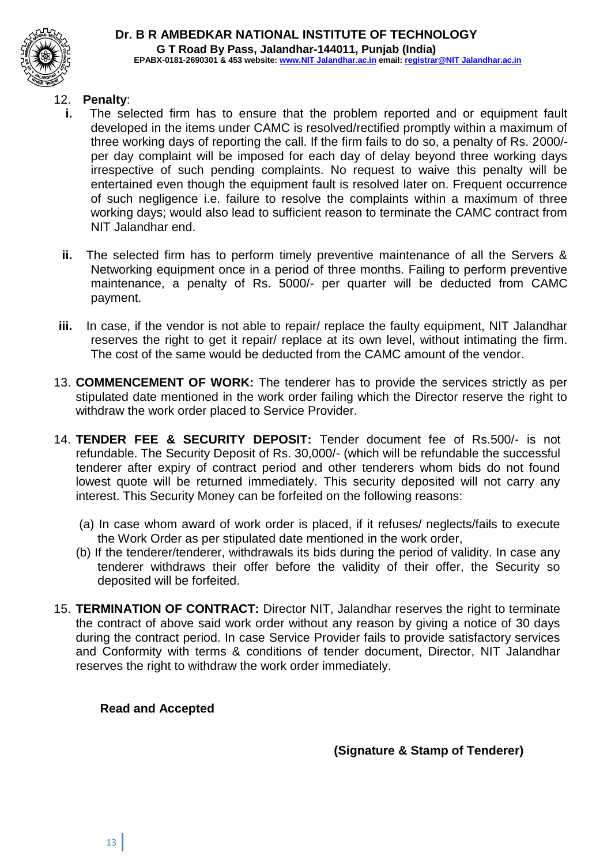

#### **Dr. B R AMBEDKAR NATIONAL INSTITUTE OF TECHNOLOGY G T Road By Pass, Jalandhar-144011, Punjab (India) EPABX-0181-2690301 & 453 website: www.NIT Jalandhar.ac.in email: registrar@NIT Jalandhar.ac.in**

#### 12. **Penalty**:

- **i.** The selected firm has to ensure that the problem reported and or equipment fault developed in the items under CAMC is resolved/rectified promptly within a maximum of three working days of reporting the call. If the firm fails to do so, a penalty of Rs. 2000/ per day complaint will be imposed for each day of delay beyond three working days irrespective of such pending complaints. No request to waive this penalty will be entertained even though the equipment fault is resolved later on. Frequent occurrence of such negligence i.e. failure to resolve the complaints within a maximum of three working days; would also lead to sufficient reason to terminate the CAMC contract from NIT Jalandhar end.
- **ii.** The selected firm has to perform timely preventive maintenance of all the Servers & Networking equipment once in a period of three months. Failing to perform preventive maintenance, a penalty of Rs. 5000/- per quarter will be deducted from CAMC payment.
- **iii.** In case, if the vendor is not able to repair/ replace the faulty equipment, NIT Jalandhar reserves the right to get it repair/ replace at its own level, without intimating the firm. The cost of the same would be deducted from the CAMC amount of the vendor.
- 13. **COMMENCEMENT OF WORK:** The tenderer has to provide the services strictly as per stipulated date mentioned in the work order failing which the Director reserve the right to withdraw the work order placed to Service Provider.
- 14. **TENDER FEE & SECURITY DEPOSIT:** Tender document fee of Rs.500/- is not refundable. The Security Deposit of Rs. 30,000/- (which will be refundable the successful tenderer after expiry of contract period and other tenderers whom bids do not found lowest quote will be returned immediately. This security deposited will not carry any interest. This Security Money can be forfeited on the following reasons:
	- (a) In case whom award of work order is placed, if it refuses/ neglects/fails to execute the Work Order as per stipulated date mentioned in the work order,
	- (b) If the tenderer/tenderer, withdrawals its bids during the period of validity. In case any tenderer withdraws their offer before the validity of their offer, the Security so deposited will be forfeited.
- 15. **TERMINATION OF CONTRACT:** Director NIT, Jalandhar reserves the right to terminate the contract of above said work order without any reason by giving a notice of 30 days during the contract period. In case Service Provider fails to provide satisfactory services and Conformity with terms & conditions of tender document, Director, NIT Jalandhar reserves the right to withdraw the work order immediately.

#### **Read and Accepted**

**(Signature & Stamp of Tenderer)**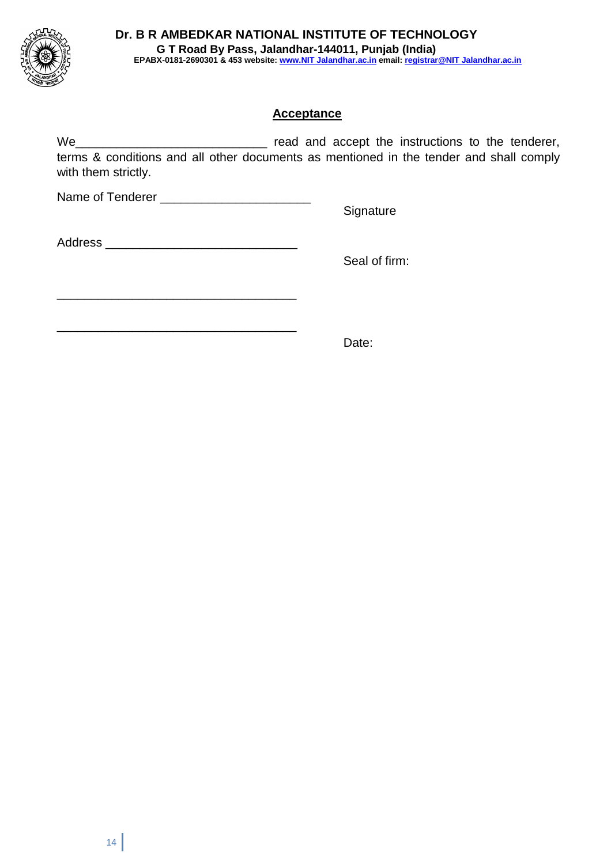

#### **Acceptance**

We\_\_\_\_\_\_\_\_\_\_\_\_\_\_\_\_\_\_\_\_\_\_\_\_\_\_\_\_ read and accept the instructions to the tenderer, terms & conditions and all other documents as mentioned in the tender and shall comply with them strictly.

Name of Tenderer \_\_\_\_\_\_\_\_\_\_\_\_\_\_\_\_\_\_\_\_\_\_

**Signature** 

Address \_\_\_\_\_\_\_\_\_\_\_\_\_\_\_\_\_\_\_\_\_\_\_\_\_\_\_\_

\_\_\_\_\_\_\_\_\_\_\_\_\_\_\_\_\_\_\_\_\_\_\_\_\_\_\_\_\_\_\_\_\_\_\_

\_\_\_\_\_\_\_\_\_\_\_\_\_\_\_\_\_\_\_\_\_\_\_\_\_\_\_\_\_\_\_\_\_\_\_

Seal of firm:

Date: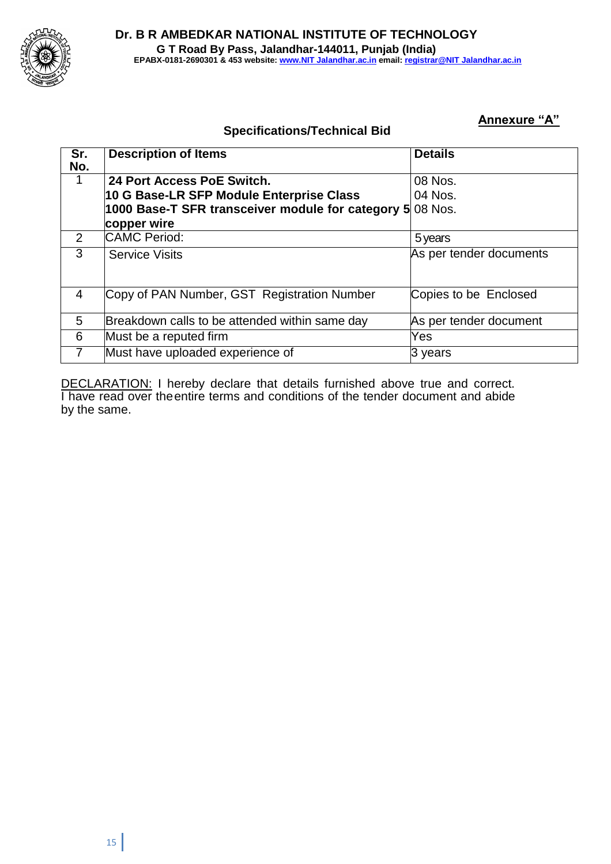

#### **Annexure "A"**

### **Specifications/Technical Bid**

| Sr.<br>No.     | <b>Description of Items</b>                       | <b>Details</b>          |
|----------------|---------------------------------------------------|-------------------------|
|                | 24 Port Access PoE Switch.                        | 08 Nos.                 |
|                | 10 G Base-LR SFP Module Enterprise Class          | 04 Nos.                 |
|                | 1000 Base-T SFR transceiver module for category 5 | 08 Nos.                 |
|                | copper wire                                       |                         |
| 2              | <b>CAMC</b> Period:                               | 5 years                 |
| 3              | <b>Service Visits</b>                             | As per tender documents |
| $\overline{4}$ | Copy of PAN Number, GST Registration Number       | Copies to be Enclosed   |
| 5              | Breakdown calls to be attended within same day    | As per tender document  |
| 6              | Must be a reputed firm                            | Yes                     |
|                | Must have uploaded experience of                  | 3 years                 |

DECLARATION: I hereby declare that details furnished above true and correct. I have read over theentire terms and conditions of the tender document and abide by the same.